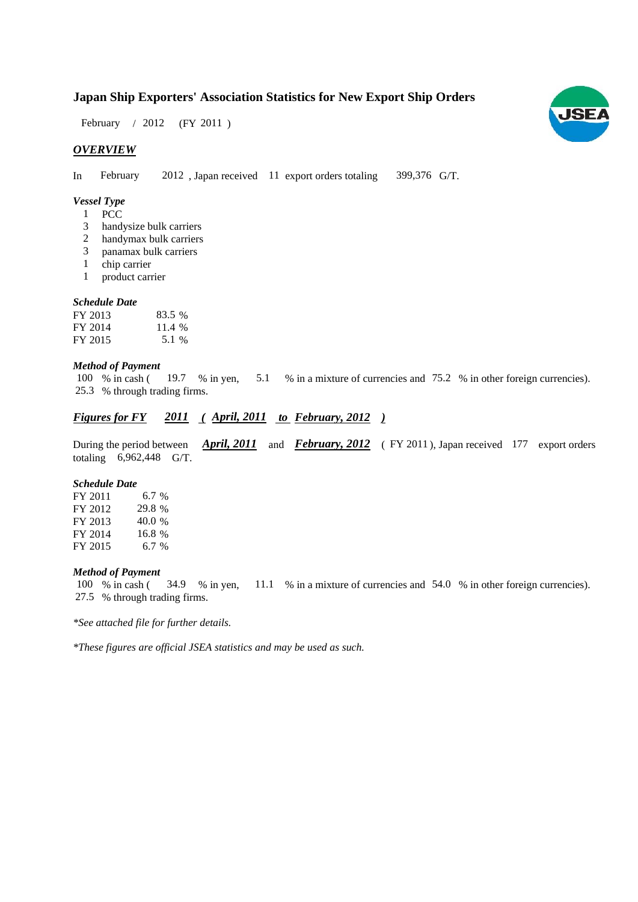# **Japan Ship Exporters' Association Statistics for New Export Ship Orders**

February / 2012 (FY 2011)

# *OVERVIEW*

In February 2012, Japan received 11 export orders totaling 399,376 G/T.

#### *Vessel Type*

- 1 PCC
- handysize bulk carriers 3
- handymax bulk carriers 2
- panamax bulk carriers 3
- chip carrier 1
- product carrier 1

#### *Schedule Date*

| FY 2013 | 83.5 % |
|---------|--------|
| FY 2014 | 11.4 % |
| FY 2015 | 5.1 %  |

#### *Method of Payment*

% in cash ( $\frac{19.7}{8}$  in yen,  $\frac{5.1}{8}$  % in a mixture of currencies and 75.2 % in other foreign currencies). % through trading firms. 25.3 100 % in cash (19.7

# *Figures for FY* 2011 (April, 2011 to February, 2012)

During the period between *April, 2011* and *February, 2012* (FY 2011), Japan received 177 export orders totaling  $6,962,448$  G/T.

## *Schedule Date*

FY 2011 FY 2012 FY 2013 FY 2014 FY 2015 6.7 % 40.0 16.8 6.7 % 29.8 %

#### *Method of Payment*

% in cash ( $\frac{34.9}{8}$  in yen,  $\frac{11.1}{8}$  in a mixture of currencies and 54.0 % in other foreign currencies). % through trading firms. 27.5 100 % in cash (34.9 % in yen,

*\*See attached file for further details.*

*\*These figures are official JSEA statistics and may be used as such.*

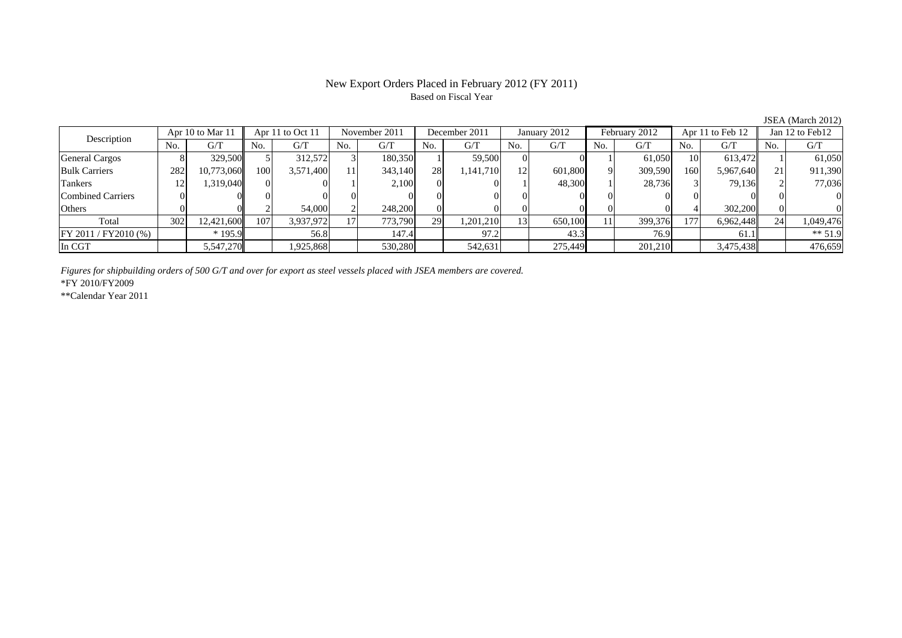### New Export Orders Placed in February 2012 (FY 2011) Based on Fiscal Year

No. G/T No. G/T No. G/T No. G/T No. G/T No. G/T No. G/T No. G/TGeneral Cargos ( 8 329,500 5 312,572 3 180,350 1 59,500 0 0 1 61,050 10 613,472 1 61,050 Bulk Carriers 1 282 10,773,060 100 3,571,400 11 343,140 28 1,141,710 12 601,800 9 309,590 160 5,967,640 21 911,390 Tankers | 12| 1,319,040|| 0| 1| 2,100| 0| 1| 48,300| 1| 28,736| 3| 79,136|| 2| 77,036 Combined Carriers 0 0 0 0 0 0 0 0 0 0 0 0 0 0 0 0Others | 0| 0|| 2| 54,000| 2| 248,200| 0| 0| 0| 0| 0| 0| 0| 0| Total 302 12,421,600 107 3,937,972 17 773,790 29 1,201,210 13 650,100 11 399,376 177 6,962,448 24 1,049,476 FY 2011 / FY2010 (%) \* 195.9 156.8 147.4 97.2 43.3 76.9 61.1 \*\* 51.9 In CGT 5,547,270 1,925,868 530,280 542,631 275,449 201,210 3,475,438 476,659 Apr 11 to Oct 11 November 2011 December 2011 Description Apr 10 to Mar 11 | Apr 11 to Oct 11 | November 2011 | December 2011 | January 2012 February 2012 | Apr 11 to Feb 12 | Jan 12 to Feb12

*Figures for shipbuilding orders of 500 G/T and over for export as steel vessels placed with JSEA members are covered.*

\*FY 2010/FY2009

\*\*Calendar Year 2011

JSEA (March 2012)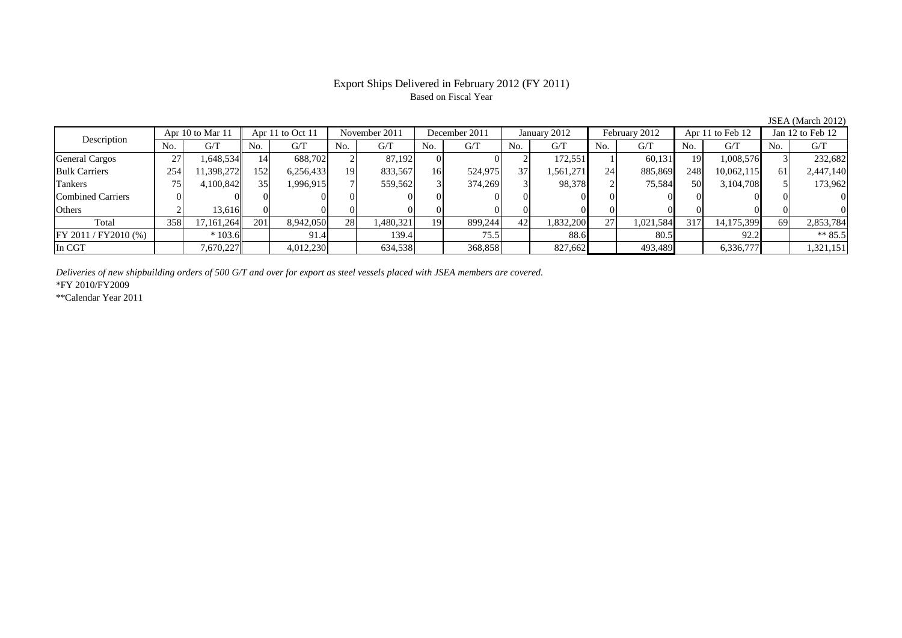## Export Ships Delivered in February 2012 (FY 2011) Based on Fiscal Year

No. G/T No. G/T No. G/T No. G/T No. G/T No. G/T No. G/T No. G/T $G/T$ General Cargos ( 27 1,648,534 14 688,702 2 87,192 0 0 2 172,551 1 60,131 19 1,008,576 3 232,682 Bulk Carriers | 254 11,398,272 152 6,256,433 19 833,567 16 524,975 37 1,561,271 24 885,869 248 10,062,115 61 2,447,140 Tankers | 75 | 4,100,842|| 35 1,996,915 | 7| 559,562 | 3| 374,269 | 3| 98,378**|** 2 | 75,584| 50 3,104,708|| 5| 173,96 Combined Carriers 0 0 0 0 0 0 0 0 0 0 0 0 0 0 0 0Others 2 13,616 0 0 0 0 0 0 0 0 0 0 0 0 0 0 Total 358 17,161,264 201 8,942,050 28 1,480,321 19 899,244 42 1,832,200 27 1,021,584 317 14,175,399 69 2,853,784 FY 2011 / FY2010 (%) \* 103.6 91.4 139.4 75.5 88.6 80.5 92.2 \*\* 85.5 In CGT | | 7,670,227|| | 4,012,230| | 634,538| | 368,858| | 827,662| | 493,489| | 6,336,777|| | 1,321,151 Description Apr 10 to Mar 11 Apr 11 to Oct 11 November 2011 December 2011<br>No. 6/T No. 6/T No. 6/T No. 6/T January 2012 February 2012 Apr 11 to Feb 12 Jan 12 to Feb 12

*Deliveries of new shipbuilding orders of 500 G/T and over for export as steel vessels placed with JSEA members are covered.*

\*FY 2010/FY2009

\*\*Calendar Year 2011

JSEA (March 2012)